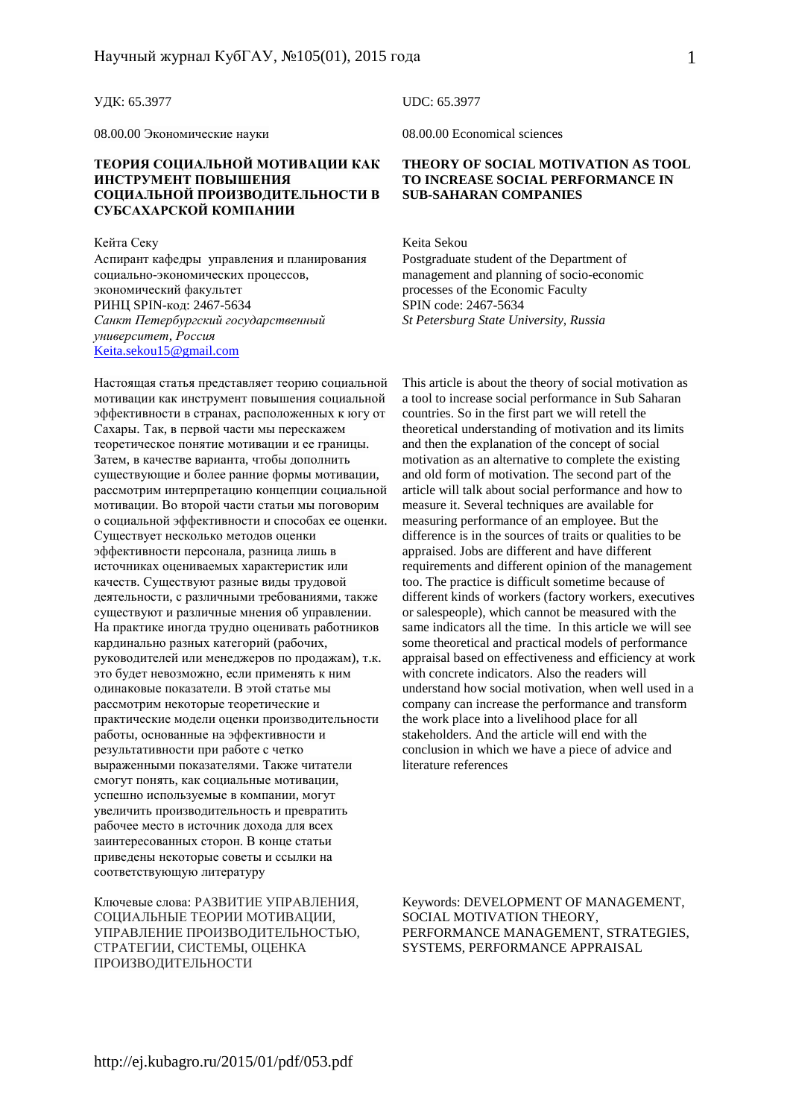УДК: 65.3977 UDC: 65.3977

08.00.00 Экономические науки 08.00.00 Economical sciences

#### **ТЕОРИЯ СОЦИАЛЬНОЙ МОТИВАЦИИ КАК ИНСТРУМЕНТ ПОВЫШЕНИЯ СОЦИАЛЬНОЙ ПРОИЗВОДИТЕЛЬНОСТИ В СУБСАХАРСКОЙ КОМПАНИИ**

Аспирант кафедры управления и планирования социально-экономических процессов, экономический факультет РИНЦ SPIN-код: 2467-5634 *Санкт Петербургский государственный университет, Россия* Keita.sekou15@gmail.com

Настоящая статья представляет теорию социальной мотивации как инструмент повышения социальной эффективности в странах, расположенных к югу от Сахары. Так, в первой части мы перескажем теоретическое понятие мотивации и ее границы. Затем, в качестве варианта, чтобы дополнить существующие и более ранние формы мотивации, рассмотрим интерпретацию концепции социальной мотивации. Во второй части статьи мы поговорим о социальной эффективности и способах ее оценки. Существует несколько методов оценки эффективности персонала, разница лишь в источниках оцениваемых характеристик или качеств. Существуют разные виды трудовой деятельности, с различными требованиями, также существуют и различные мнения об управлении. На практике иногда трудно оценивать работников кардинально разных категорий (рабочих, руководителей или менеджеров по продажам), т.к. это будет невозможно, если применять к ним одинаковые показатели. В этой статье мы рассмотрим некоторые теоретические и практические модели оценки производительности работы, основанные на эффективности и результативности при работе с четко выраженными показателями. Также читатели смогут понять, как социальные мотивации, успешно используемые в компании, могут увеличить производительность и превратить рабочее место в источник дохода для всех заинтересованных сторон. В конце статьи приведены некоторые советы и ссылки на соответствующую литературу

Ключевые слова: РАЗВИТИЕ УПРАВЛЕНИЯ, СОЦИАЛЬНЫЕ ТЕОРИИ МОТИВАЦИИ, УПРАВЛЕНИЕ ПРОИЗВОДИТЕЛЬНОСТЬЮ, СТРАТЕГИИ, СИСТЕМЫ, ОЦЕНКА ПРОИЗВОДИТЕЛЬНОСТИ

#### **THEORY OF SOCIAL MOTIVATION AS TOOL TO INCREASE SOCIAL PERFORMANCE IN SUB-SAHARAN COMPANIES**

Кейта Секу Keita Sekou

Postgraduate student of the Department of management and planning of socio-economic processes of the Economic Faculty SPIN code: 2467-5634 *St Petersburg State University, Russia*

This article is about the theory of social motivation as a tool to increase social performance in Sub Saharan countries. So in the first part we will retell the theoretical understanding of motivation and its limits and then the explanation of the concept of social motivation as an alternative to complete the existing and old form of motivation. The second part of the article will talk about social performance and how to measure it. Several techniques are available for measuring performance of an employee. But the difference is in the sources of traits or qualities to be appraised. Jobs are different and have different requirements and different opinion of the management too. The practice is difficult sometime because of different kinds of workers (factory workers, executives or salespeople), which cannot be measured with the same indicators all the time. In this article we will see some theoretical and practical models of performance appraisal based on effectiveness and efficiency at work with concrete indicators. Also the readers will understand how social motivation, when well used in a company can increase the performance and transform the work place into a livelihood place for all stakeholders. And the article will end with the conclusion in which we have a piece of advice and literature references

Keywords: DEVELOPMENT OF MANAGEMENT, SOCIAL MOTIVATION THEORY, PERFORMANCE MANAGEMENT, STRATEGIES, SYSTEMS, PERFORMANCE APPRAISAL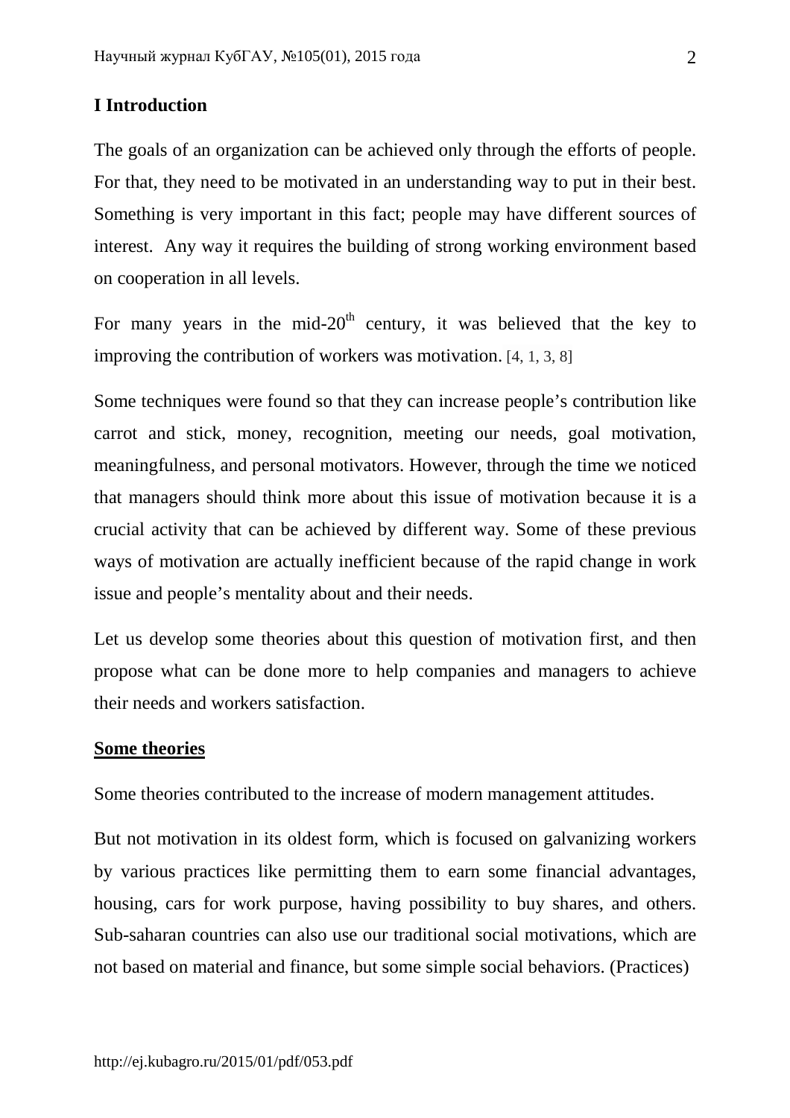# **I Introduction**

The goals of an organization can be achieved only through the efforts of people. For that, they need to be motivated in an understanding way to put in their best. Something is very important in this fact; people may have different sources of interest. Any way it requires the building of strong working environment based on cooperation in all levels.

For many years in the mid-20<sup>th</sup> century, it was believed that the key to improving the contribution of workers was motivation. [4, 1, 3, 8]

Some techniques were found so that they can increase people's contribution like carrot and stick, money, recognition, meeting our needs, goal motivation, meaningfulness, and personal motivators. However, through the time we noticed that managers should think more about this issue of motivation because it is a crucial activity that can be achieved by different way. Some of these previous ways of motivation are actually inefficient because of the rapid change in work issue and people's mentality about and their needs.

Let us develop some theories about this question of motivation first, and then propose what can be done more to help companies and managers to achieve their needs and workers satisfaction.

## **Some theories**

Some theories contributed to the increase of modern management attitudes.

But not motivation in its oldest form, which is focused on galvanizing workers by various practices like permitting them to earn some financial advantages, housing, cars for work purpose, having possibility to buy shares, and others. Sub-saharan countries can also use our traditional social motivations, which are not based on material and finance, but some simple social behaviors. (Practices)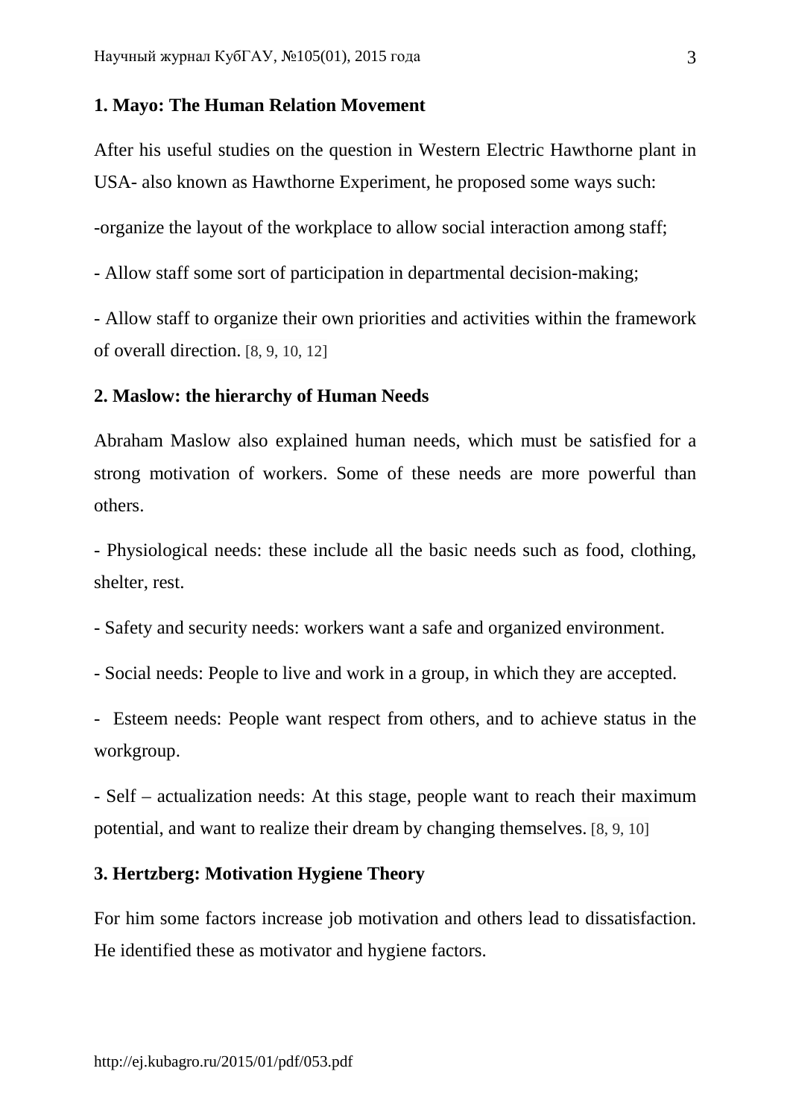### **1. Mayo: The Human Relation Movement**

After his useful studies on the question in Western Electric Hawthorne plant in USA- also known as Hawthorne Experiment, he proposed some ways such:

-organize the layout of the workplace to allow social interaction among staff;

- Allow staff some sort of participation in departmental decision-making;

- Allow staff to organize their own priorities and activities within the framework of overall direction. [8, 9, 10, 12]

### **2. Maslow: the hierarchy of Human Needs**

Abraham Maslow also explained human needs, which must be satisfied for a strong motivation of workers. Some of these needs are more powerful than others.

- Physiological needs: these include all the basic needs such as food, clothing, shelter, rest.

- Safety and security needs: workers want a safe and organized environment.

- Social needs: People to live and work in a group, in which they are accepted.

- Esteem needs: People want respect from others, and to achieve status in the workgroup.

- Self – actualization needs: At this stage, people want to reach their maximum potential, and want to realize their dream by changing themselves. [8, 9, 10]

### **3. Hertzberg: Motivation Hygiene Theory**

For him some factors increase job motivation and others lead to dissatisfaction. He identified these as motivator and hygiene factors.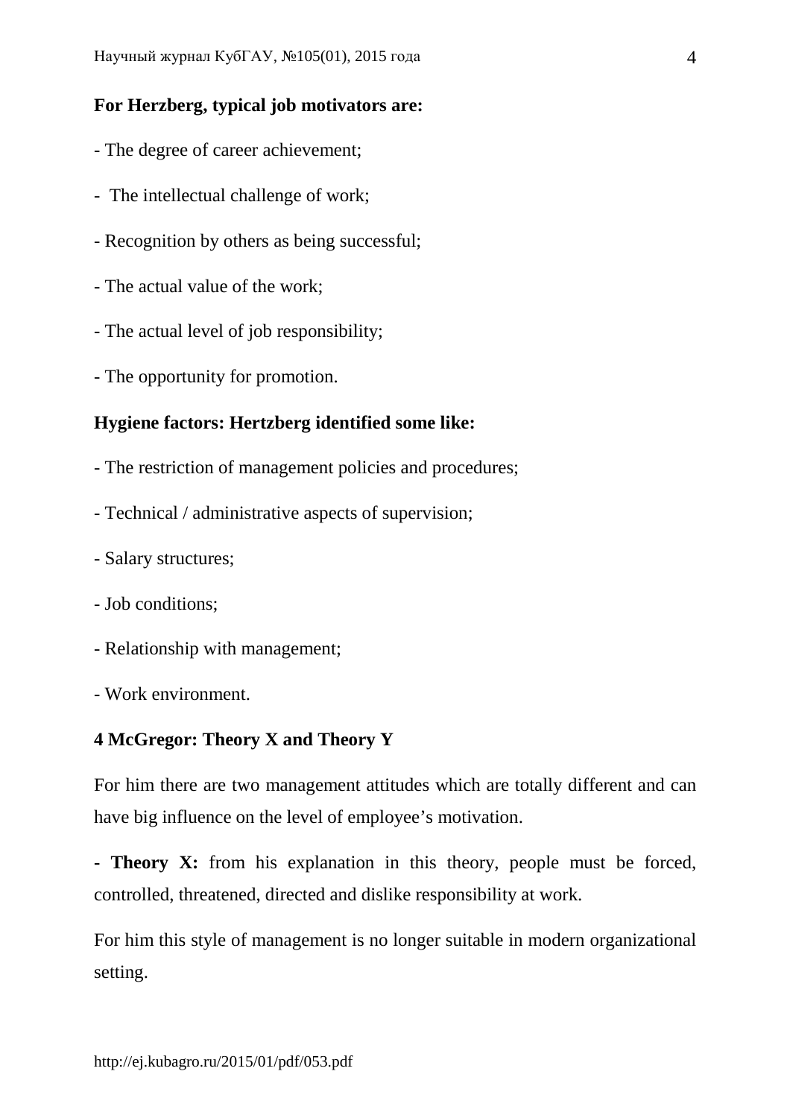## **For Herzberg, typical job motivators are:**

- The degree of career achievement;
- The intellectual challenge of work;
- Recognition by others as being successful;
- The actual value of the work;
- The actual level of job responsibility;
- The opportunity for promotion.

## **Hygiene factors: Hertzberg identified some like:**

- The restriction of management policies and procedures;
- Technical / administrative aspects of supervision;
- Salary structures;
- Job conditions;
- Relationship with management;
- Work environment.

# **4 McGregor: Theory X and Theory Y**

For him there are two management attitudes which are totally different and can have big influence on the level of employee's motivation.

**- Theory X:** from his explanation in this theory, people must be forced, controlled, threatened, directed and dislike responsibility at work.

For him this style of management is no longer suitable in modern organizational setting.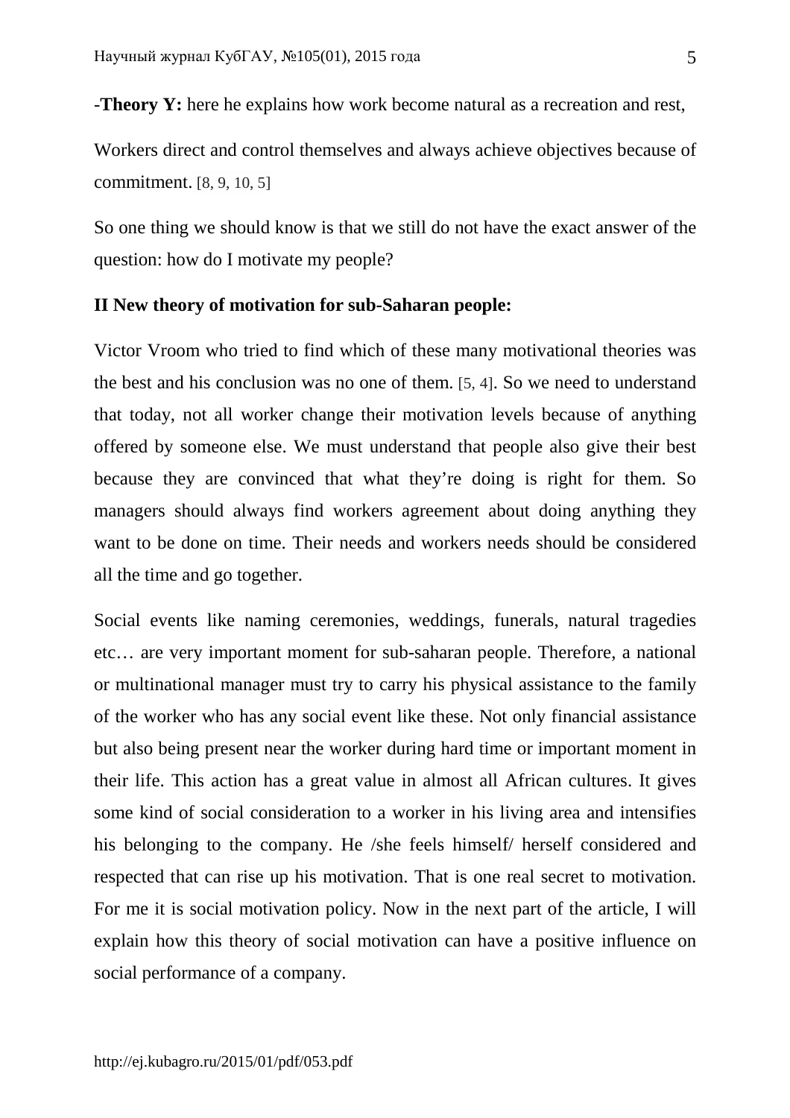-**Theory Y:** here he explains how work become natural as a recreation and rest,

Workers direct and control themselves and always achieve objectives because of commitment. [8, 9, 10, 5]

So one thing we should know is that we still do not have the exact answer of the question: how do I motivate my people?

## **II New theory of motivation for sub-Saharan people:**

Victor Vroom who tried to find which of these many motivational theories was the best and his conclusion was no one of them. [5, 4]. So we need to understand that today, not all worker change their motivation levels because of anything offered by someone else. We must understand that people also give their best because they are convinced that what they're doing is right for them. So managers should always find workers agreement about doing anything they want to be done on time. Their needs and workers needs should be considered all the time and go together.

Social events like naming ceremonies, weddings, funerals, natural tragedies etc… are very important moment for sub-saharan people. Therefore, a national or multinational manager must try to carry his physical assistance to the family of the worker who has any social event like these. Not only financial assistance but also being present near the worker during hard time or important moment in their life. This action has a great value in almost all African cultures. It gives some kind of social consideration to a worker in his living area and intensifies his belonging to the company. He /she feels himself/ herself considered and respected that can rise up his motivation. That is one real secret to motivation. For me it is social motivation policy. Now in the next part of the article, I will explain how this theory of social motivation can have a positive influence on social performance of a company.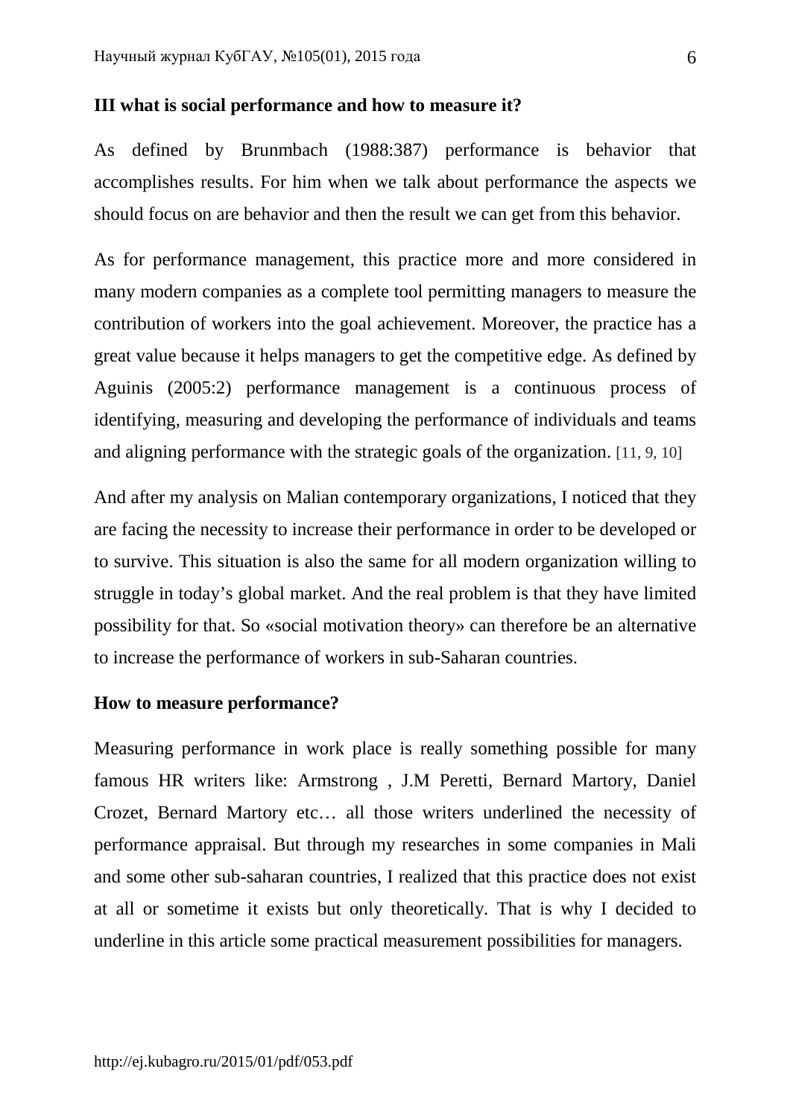## **III what is social performance and how to measure it?**

As defined by Brunmbach (1988:387) performance is behavior that accomplishes results. For him when we talk about performance the aspects we should focus on are behavior and then the result we can get from this behavior.

As for performance management, this practice more and more considered in many modern companies as a complete tool permitting managers to measure the contribution of workers into the goal achievement. Moreover, the practice has a great value because it helps managers to get the competitive edge. As defined by Aguinis (2005:2) performance management is a continuous process of identifying, measuring and developing the performance of individuals and teams and aligning performance with the strategic goals of the organization. [11, 9, 10]

And after my analysis on Malian contemporary organizations, I noticed that they are facing the necessity to increase their performance in order to be developed or to survive. This situation is also the same for all modern organization willing to struggle in today's global market. And the real problem is that they have limited possibility for that. So «social motivation theory» can therefore be an alternative to increase the performance of workers in sub-Saharan countries.

### **How to measure performance?**

Measuring performance in work place is really something possible for many famous HR writers like: Armstrong , J.M Peretti, Bernard Martory, Daniel Crozet, Bernard Martory etc… all those writers underlined the necessity of performance appraisal. But through my researches in some companies in Mali and some other sub-saharan countries, I realized that this practice does not exist at all or sometime it exists but only theoretically. That is why I decided to underline in this article some practical measurement possibilities for managers.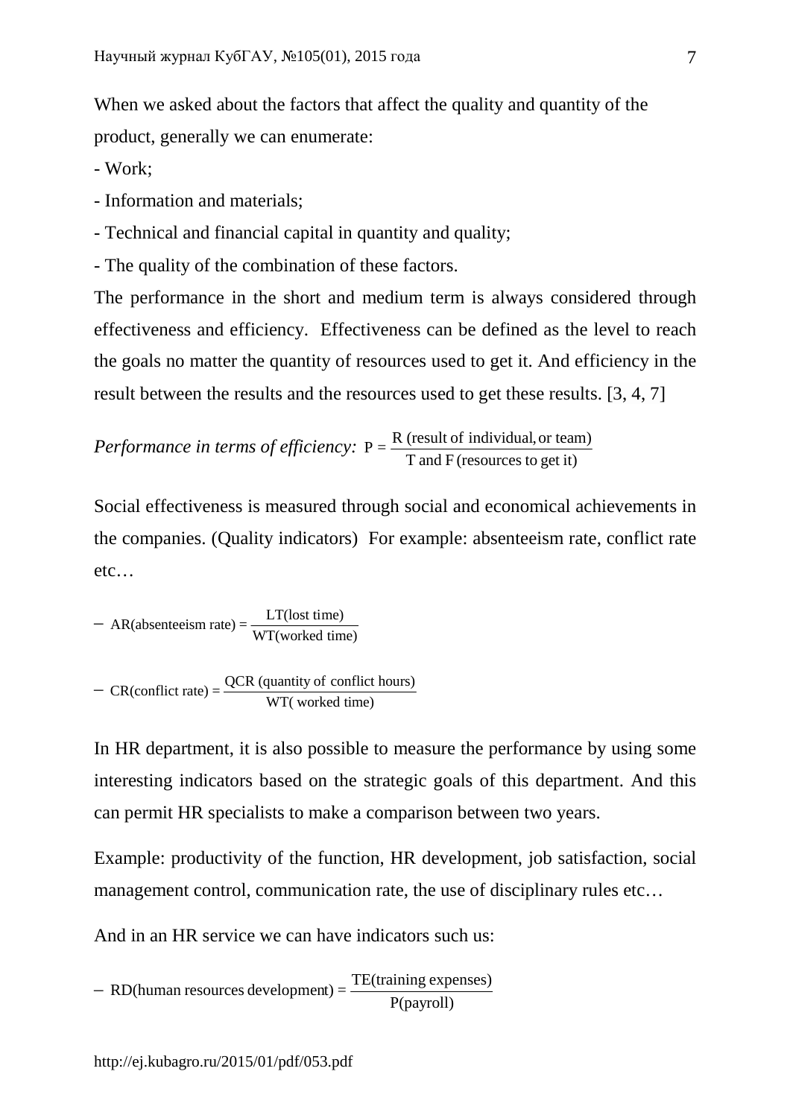When we asked about the factors that affect the quality and quantity of the product, generally we can enumerate:

- Work;

- Information and materials;

- Technical and financial capital in quantity and quality;

- The quality of the combination of these factors.

The performance in the short and medium term is always considered through effectiveness and efficiency. Effectiveness can be defined as the level to reach the goals no matter the quantity of resources used to get it. And efficiency in the result between the results and the resources used to get these results. [3, 4, 7]

*Performance in terms of efficiency:* 
$$
P = \frac{R \text{ (result of individual, or team)}}{T \text{ and } F \text{ (resources to get it)}}
$$

Social effectiveness is measured through social and economical achievements in the companies. (Quality indicators) For example: absenteeism rate, conflict rate etc…

- AR(absenteeism rate) = 
$$
\frac{LT (lost time)}{WT (worked time)}
$$

- CR(conflict rate) = 
$$
\frac{QCR (quantity of conflict hours)}{WT (worked time)}
$$

In HR department, it is also possible to measure the performance by using some interesting indicators based on the strategic goals of this department. And this can permit HR specialists to make a comparison between two years.

Example: productivity of the function, HR development, job satisfaction, social management control, communication rate, the use of disciplinary rules etc…

And in an HR service we can have indicators such us:

 $-$  RD(human resources development) =  $\frac{\text{TE}(training expenses)}{\text{DC}(m,n)}$ P(payroll)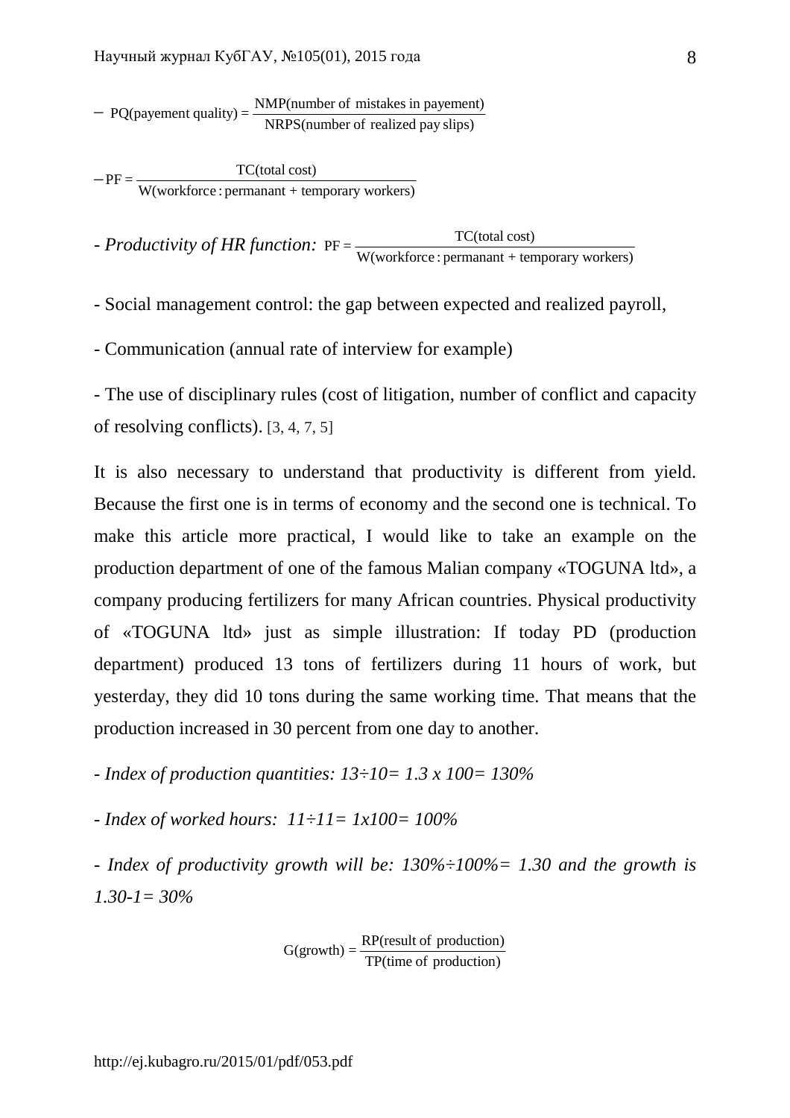$-$  PQ(payement quality)  $=$   $\frac{NMP(number \space or \space missing \space) }{NRPS(number \space of \space realized \space pays \space) }$  $PQ(payement quality) = \frac{NMP(number of mistakes in payment)}{NTPQ(number of mistakes in payment)}$ 

 $-PF = \frac{IC(total cost)}{W(worker force: permanent + temporary workers)}$  $PF = \frac{TC(total cost)}{TCT(t total cost)}$ 

*- Productivity of HR function:*  $PF = \frac{IC(total cost)}{W(workforce : permanent + temporary workers)}$  $PF = \frac{TC(total cost)}{T C(total cost)}$ 

- Social management control: the gap between expected and realized payroll,

- Communication (annual rate of interview for example)

- The use of disciplinary rules (cost of litigation, number of conflict and capacity of resolving conflicts). [3, 4, 7, 5]

It is also necessary to understand that productivity is different from yield. Because the first one is in terms of economy and the second one is technical. To make this article more practical, I would like to take an example on the production department of one of the famous Malian company «TOGUNA ltd», a company producing fertilizers for many African countries. Physical productivity of «TOGUNA ltd» just as simple illustration: If today PD (production department) produced 13 tons of fertilizers during 11 hours of work, but yesterday, they did 10 tons during the same working time. That means that the production increased in 30 percent from one day to another.

*- Index of production quantities: 13÷10= 1.3 x 100= 130%* 

*- Index of worked hours: 11÷11= 1x100= 100%* 

*- Index of productivity growth will be: 130%÷100%= 1.30 and the growth is 1.30-1= 30%* 

$$
G(growth) = \frac{RP(result of production)}{TP(time of production)}
$$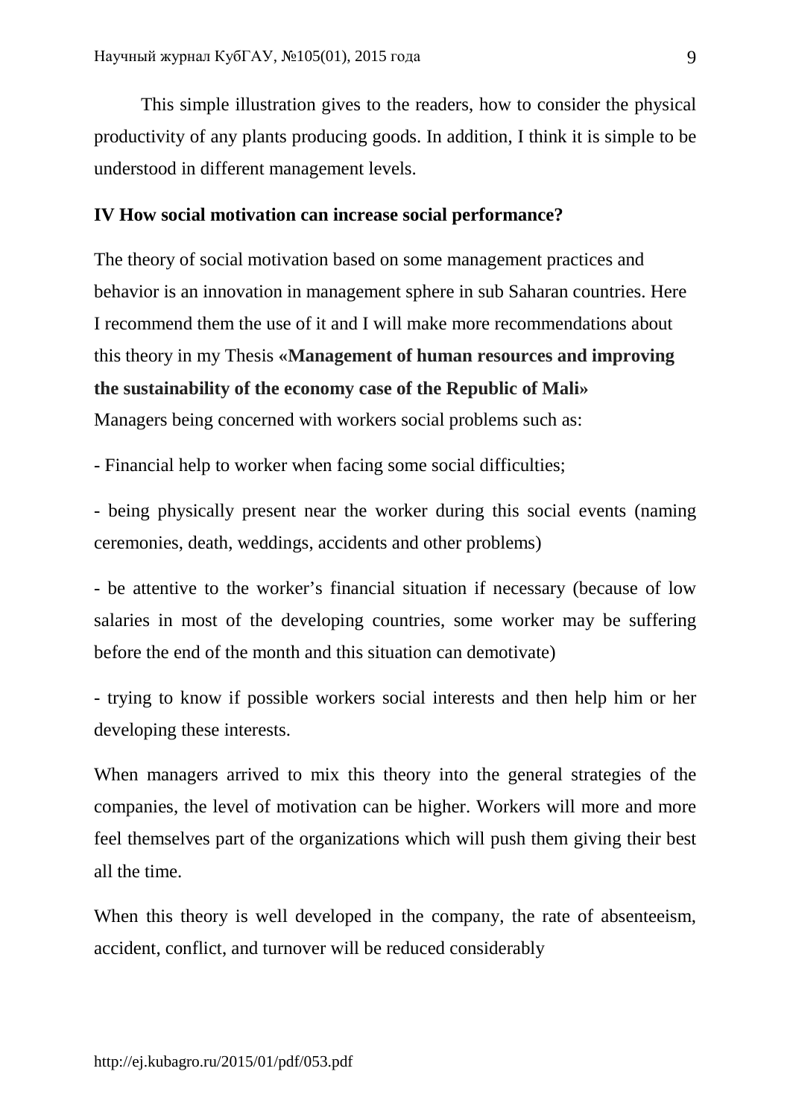This simple illustration gives to the readers, how to consider the physical productivity of any plants producing goods. In addition, I think it is simple to be understood in different management levels.

## **IV How social motivation can increase social performance?**

The theory of social motivation based on some management practices and behavior is an innovation in management sphere in sub Saharan countries. Here I recommend them the use of it and I will make more recommendations about this theory in my Thesis **«Management of human resources and improving the sustainability of the economy case of the Republic of Mali»**  Managers being concerned with workers social problems such as:

- Financial help to worker when facing some social difficulties;

- being physically present near the worker during this social events (naming ceremonies, death, weddings, accidents and other problems)

- be attentive to the worker's financial situation if necessary (because of low salaries in most of the developing countries, some worker may be suffering before the end of the month and this situation can demotivate)

- trying to know if possible workers social interests and then help him or her developing these interests.

When managers arrived to mix this theory into the general strategies of the companies, the level of motivation can be higher. Workers will more and more feel themselves part of the organizations which will push them giving their best all the time.

When this theory is well developed in the company, the rate of absenteeism, accident, conflict, and turnover will be reduced considerably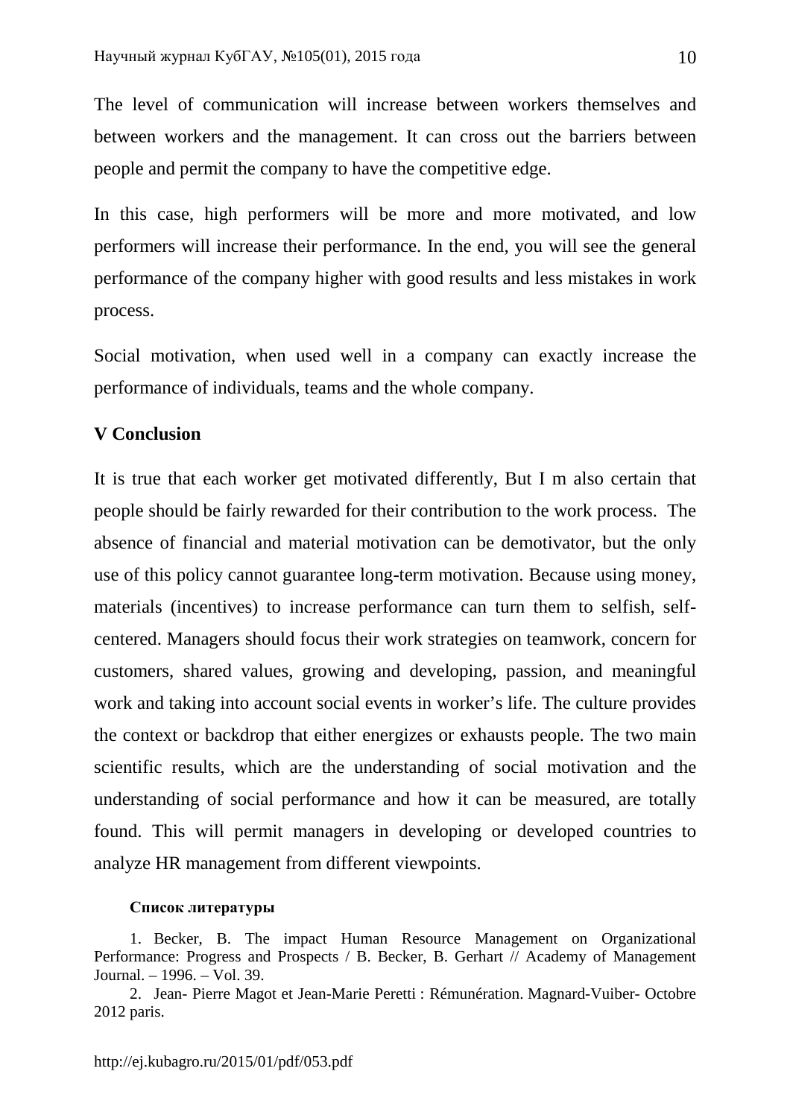The level of communication will increase between workers themselves and between workers and the management. It can cross out the barriers between people and permit the company to have the competitive edge.

In this case, high performers will be more and more motivated, and low performers will increase their performance. In the end, you will see the general performance of the company higher with good results and less mistakes in work process.

Social motivation, when used well in a company can exactly increase the performance of individuals, teams and the whole company.

# **V Conclusion**

It is true that each worker get motivated differently, But I m also certain that people should be fairly rewarded for their contribution to the work process. The absence of financial and material motivation can be demotivator, but the only use of this policy cannot guarantee long-term motivation. Because using money, materials (incentives) to increase performance can turn them to selfish, selfcentered. Managers should focus their work strategies on teamwork, concern for customers, shared values, growing and developing, passion, and meaningful work and taking into account social events in worker's life. The culture provides the context or backdrop that either energizes or exhausts people. The two main scientific results, which are the understanding of social motivation and the understanding of social performance and how it can be measured, are totally found. This will permit managers in developing or developed countries to analyze HR management from different viewpoints.

### **Список литературы**

1. Becker, B. The impact Human Resource Management on Organizational Performance: Progress and Prospects / B. Becker, B. Gerhart // Academy of Management Journal. – 1996. – Vol. 39.

2. Jean- Pierre Magot et Jean-Marie Peretti : Rémunération. Magnard-Vuiber- Octobre 2012 paris.